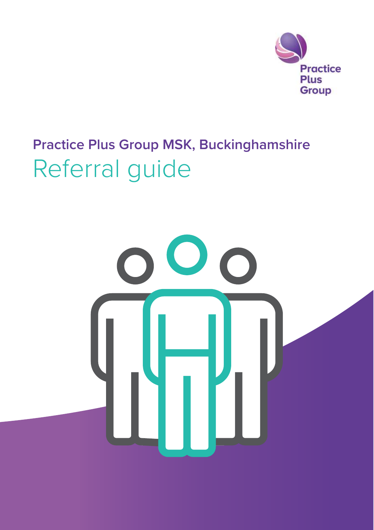

# **Practice Plus Group MSK, Buckinghamshire** Referral guide

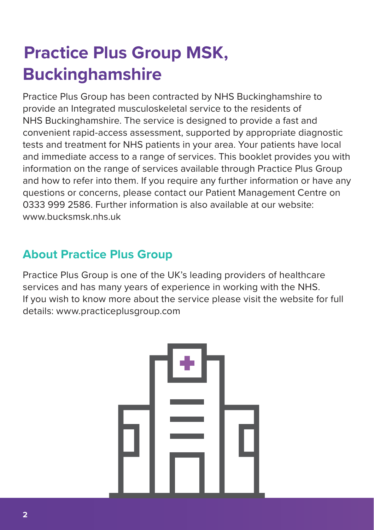## **Practice Plus Group MSK, Buckinghamshire**

Practice Plus Group has been contracted by NHS Buckinghamshire to provide an Integrated musculoskeletal service to the residents of NHS Buckinghamshire. The service is designed to provide a fast and convenient rapid-access assessment, supported by appropriate diagnostic tests and treatment for NHS patients in your area. Your patients have local and immediate access to a range of services. This booklet provides you with information on the range of services available through Practice Plus Group and how to refer into them. If you require any further information or have any questions or concerns, please contact our Patient Management Centre on 0333 999 2586. Further information is also available at our website: www.bucksmsk.nhs.uk

### **About Practice Plus Group**

Practice Plus Group is one of the UK's leading providers of healthcare services and has many years of experience in working with the NHS. If you wish to know more about the service please visit the website for full details: www.practiceplusgroup.com

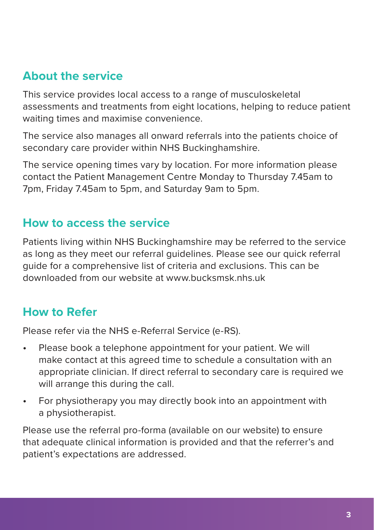#### **About the service**

This service provides local access to a range of musculoskeletal assessments and treatments from eight locations, helping to reduce patient waiting times and maximise convenience.

The service also manages all onward referrals into the patients choice of secondary care provider within NHS Buckinghamshire.

The service opening times vary by location. For more information please contact the Patient Management Centre Monday to Thursday 7.45am to 7pm, Friday 7.45am to 5pm, and Saturday 9am to 5pm.

#### **How to access the service**

Patients living within NHS Buckinghamshire may be referred to the service as long as they meet our referral guidelines. Please see our quick referral guide for a comprehensive list of criteria and exclusions. This can be downloaded from our website at www.bucksmsk.nhs.uk

#### **How to Refer**

Please refer via the NHS e-Referral Service (e-RS).

- Please book a telephone appointment for your patient. We will make contact at this agreed time to schedule a consultation with an appropriate clinician. If direct referral to secondary care is required we will arrange this during the call.
- For physiotherapy you may directly book into an appointment with a physiotherapist.

Please use the referral pro-forma (available on our website) to ensure that adequate clinical information is provided and that the referrer's and patient's expectations are addressed.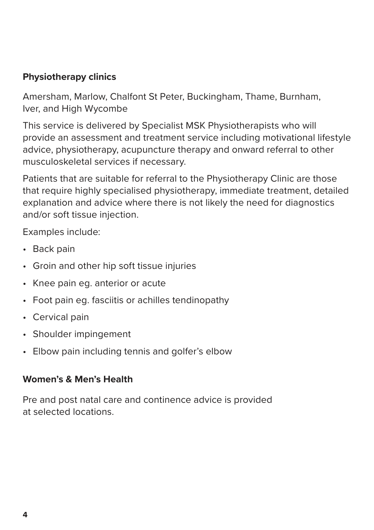#### **Physiotherapy clinics**

Amersham, Marlow, Chalfont St Peter, Buckingham, Thame, Burnham, Iver, and High Wycombe

This service is delivered by Specialist MSK Physiotherapists who will provide an assessment and treatment service including motivational lifestyle advice, physiotherapy, acupuncture therapy and onward referral to other musculoskeletal services if necessary.

Patients that are suitable for referral to the Physiotherapy Clinic are those that require highly specialised physiotherapy, immediate treatment, detailed explanation and advice where there is not likely the need for diagnostics and/or soft tissue injection.

Examples include:

- Back pain
- Groin and other hip soft tissue injuries
- Knee pain eg. anterior or acute
- Foot pain eg. fasciitis or achilles tendinopathy
- Cervical pain
- Shoulder impingement
- Elbow pain including tennis and golfer's elbow

#### **Women's & Men's Health**

Pre and post natal care and continence advice is provided at selected locations.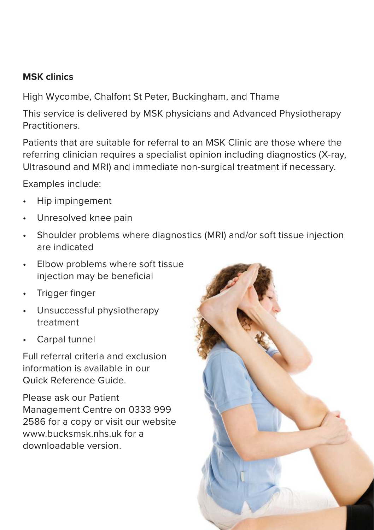#### **MSK clinics**

High Wycombe, Chalfont St Peter, Buckingham, and Thame

This service is delivered by MSK physicians and Advanced Physiotherapy **Practitioners** 

Patients that are suitable for referral to an MSK Clinic are those where the referring clinician requires a specialist opinion including diagnostics (X-ray, Ultrasound and MRI) and immediate non-surgical treatment if necessary.

Examples include:

- Hip impingement
- Unresolved knee pain
- Shoulder problems where diagnostics (MRI) and/or soft tissue injection are indicated
- Elbow problems where soft tissue elbow problems where soft assue<br>injection may be beneficial
- Trigger finger
- Unsuccessful physiotherapy treatment
- Carpal tunnel

Full referral criteria and exclusion information is available in our Quick Reference Guide.

Please ask our Patient Management Centre on 0333 999 2586 for a copy or visit our website www.bucksmsk.nhs.uk for a downloadable version.

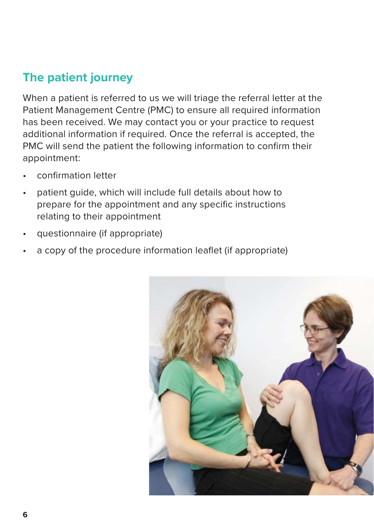## **The patient journey**

When a patient is referred to us we will triage the referral letter at the Patient Management Centre (PMC) to ensure all required information has been received. We may contact you or your practice to request additional information if required. Once the referral is accepted, the PMC will send the patient the following information to confirm their appointment:

- confi rmation letter
- patient guide, which will include full details about how to prepare for the appointment and any specific instructions relating to their appointment
- questionnaire (if appropriate)
- a copy of the procedure information leaflet (if appropriate)

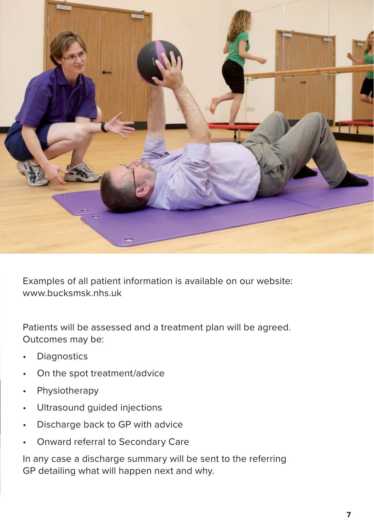

Examples of all patient information is available on our website: www.bucksmsk.nhs.uk

Patients will be assessed and a treatment plan will be agreed. Outcomes may be:

- **Diagnostics**
- On the spot treatment/advice
- Physiotherapy
- Ultrasound guided injections
- Discharge back to GP with advice
- Onward referral to Secondary Care

In any case a discharge summary will be sent to the referring GP detailing what will happen next and why.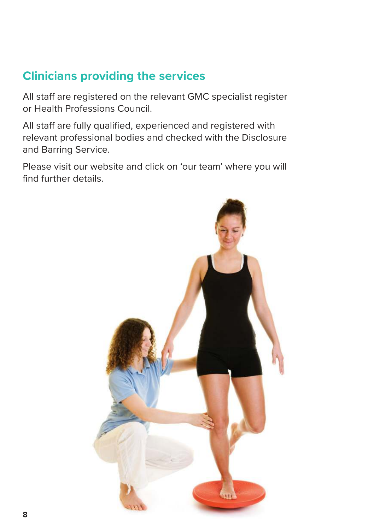## **Clinicians providing the services**

All staff are registered on the relevant GMC specialist register or Health Professions Council.

All staff are fully qualified, experienced and registered with relevant professional bodies and checked with the Disclosure and Barring Service.

Please visit our website and click on 'our team' where you will find further details.

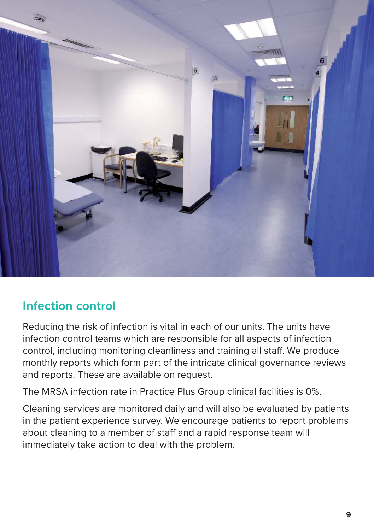

#### **Infection control**

Reducing the risk of infection is vital in each of our units. The units have infection control teams which are responsible for all aspects of infection control, including monitoring cleanliness and training all staff. We produce monthly reports which form part of the intricate clinical governance reviews and reports. These are available on request.

The MRSA infection rate in Practice Plus Group clinical facilities is 0%.

Cleaning services are monitored daily and will also be evaluated by patients in the patient experience survey. We encourage patients to report problems about cleaning to a member of staff and a rapid response team will immediately take action to deal with the problem.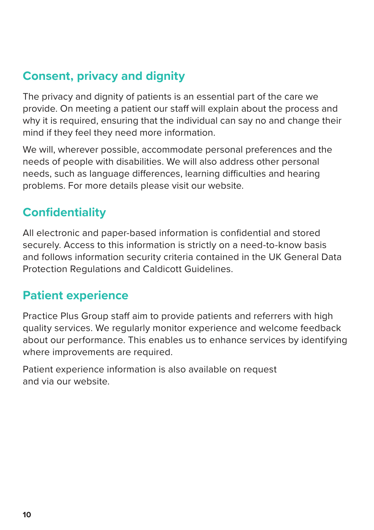## **Consent, privacy and dignity**

The privacy and dignity of patients is an essential part of the care we provide. On meeting a patient our staff will explain about the process and why it is required, ensuring that the individual can say no and change their mind if they feel they need more information.

We will, wherever possible, accommodate personal preferences and the needs of people with disabilities. We will also address other personal needs, such as language differences, learning difficulties and hearing problems. For more details please visit our website.

## **Confidentiality**

All electronic and paper-based information is confidential and stored securely. Access to this information is strictly on a need-to-know basis and follows information security criteria contained in the UK General Data Protection Regulations and Caldicott Guidelines.

#### **Patient experience**

Practice Plus Group staff aim to provide patients and referrers with high quality services. We regularly monitor experience and welcome feedback about our performance. This enables us to enhance services by identifying where improvements are required.

Patient experience information is also available on request and via our website.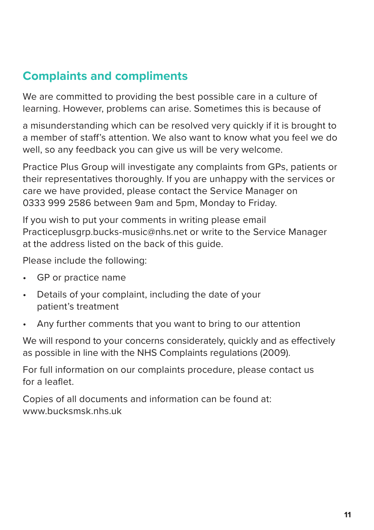### **Complaints and compliments**

We are committed to providing the best possible care in a culture of learning. However, problems can arise. Sometimes this is because of

a misunderstanding which can be resolved very quickly if it is brought to a member of staff's attention. We also want to know what you feel we do well, so any feedback you can give us will be very welcome.

Practice Plus Group will investigate any complaints from GPs, patients or their representatives thoroughly. If you are unhappy with the services or care we have provided, please contact the Service Manager on 0333 999 2586 between 9am and 5pm, Monday to Friday.

If you wish to put your comments in writing please email Practiceplusgrp.bucks-music@nhs.net or write to the Service Manager at the address listed on the back of this guide.

Please include the following:

- GP or practice name
- Details of your complaint, including the date of your patient's treatment
- Any further comments that you want to bring to our attention

We will respond to your concerns considerately, quickly and as effectively as possible in line with the NHS Complaints regulations (2009).

For full information on our complaints procedure, please contact us for a leaflet.

Copies of all documents and information can be found at: www.bucksmsk.nhs.uk